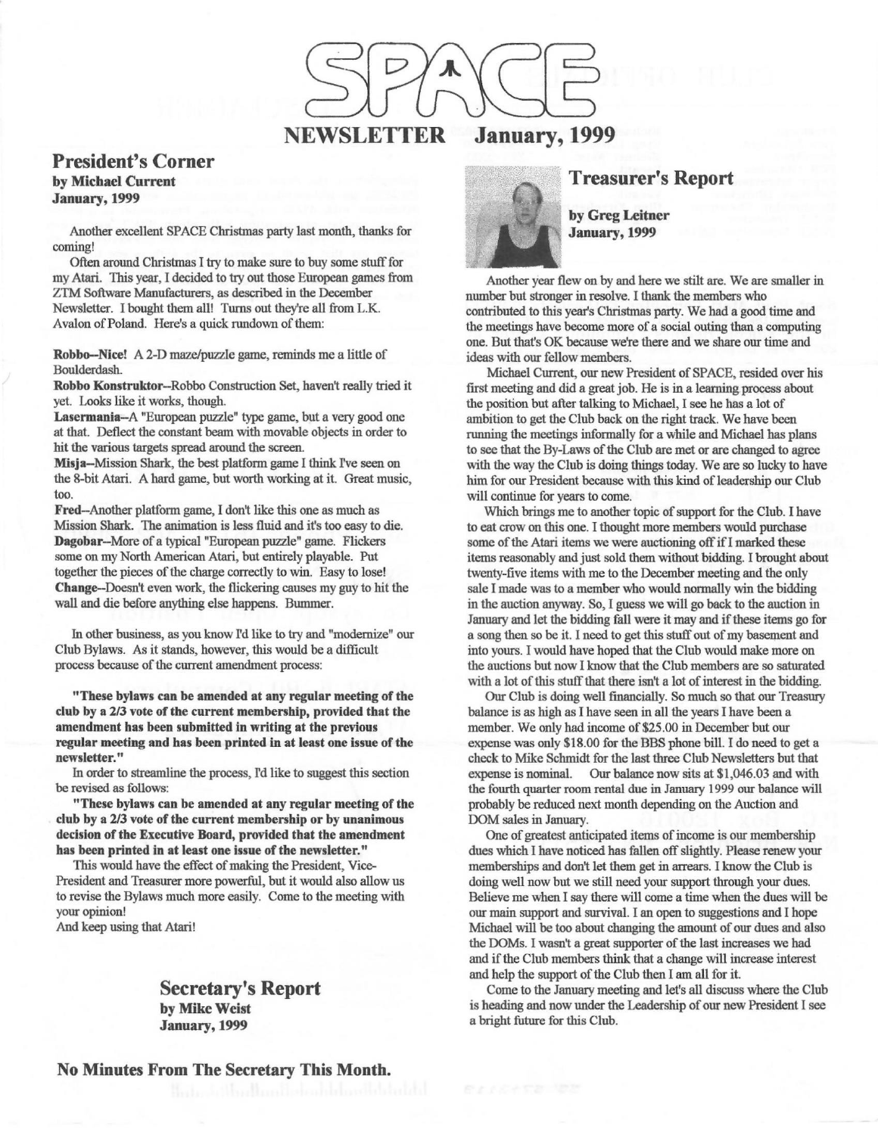

## **President's Corner by Michael Current January,1999**

Another excellent SPACE Christmas party last month, thanks for coming!

Often around Christmas I try to make sure to buy some stuff for my Atari. This year, I decided to try out those European games from ZTM Software Manufacturers, as described in the December Newsletter. I bought them all! Turns out they're all from L.K. Avalon of Poland. Here's a quick rundown of them:

**Robbo-Nice!** A 2-D maze/puzzle game, reminds me a little of Boulderdash.

**Robbo Konstruktor-Robbo** Construction Set, haven't really tried it yet. Looks like it works, though.

**Lasermania-A** "European puzzle" type game, but a very good one at that. Deflect the constant beam with movable objects in order to hit the various targets spread around the screen.

**Misja--Mission Shark, the best platform game I think I've seen on** the 8-bit Atari. A hard game, but worth working at it. Great music, too.

**Fred-Another** platform game, I don't like this one as much as Mission Shark. The animation is less fluid and it's too easy to die. **Dagobar-More** of a typical "European puzzle" game. Flickers some on my North American Atari, but entirely playable. Put together the pieces of the charge correctly to win. Easy to lose! **Change-Doesn't** even work, the flickering causes my guy to hit the wall and die before anything else happens. Bummer.

In other business, as you know rd like to try and "modernize" our Club Bylaws. As it stands, however, this would be a difficult process because of the current amendment process:

**"These bylaws can be amended at any regular meeting of the**  club by a 2/3 vote of the current membership, provided that the **amendment has been submitted in writing at the previous regular meeting and has been printed** in **at least one issue of the newsletter."** 

In order to streamline the process, I'd like to suggest this section be revised as follows:

**"These bylaws can be amended at any regular meeting of the club by a 2/3 vote of the current membership or by unanimous decision of the Executive Board, provided that the amendment has been printed in at least one issue of the newsletter."** 

This would have the effect of making the President, Vice-President and Treasurer more powerful, but it would also allow us to revise the Bylaws much more easily. Come to the meeting with your opinion!

And keep using that Atari!

**Secretary's Report by Mike Weist January,1999** 

**No Minutes From The Secretary This Month.** 



## **Treasurer's Report**

**by Greg Leitner January,1999** 

Another year flew on by and here we stilt are. We are smaller in number but stronger in resolve. I thank the members who contributed to this year's Christmas party. We had a good time and the meetings have become more of a social outing than a computing one. But that's OK because we're there and we share our time and ideas with our fellow members.

Michael Current, our new President of SPACE, resided over his first meeting and did a great job. He is in a learning process about the position but after talking to Michael, I see he has a lot of ambition to get the Club back on the right track. We have been running the meetings informally for a while and Michael has plans to see that the By-Laws of the Club are met or are changed to agree with the way the Club is doing things today. We are so lucky to have him for our President because with this kind of leadership our Club will continue for years to come.

Which brings me to another topic of support for the Club. I have to eat crow on this one. I thought more members would purchase some of the Atari items we were auctioning off if I marked these items reasonably and just sold them without bidding. I brought about twenty-five items with me to the December meeting and the only sale I made was to a member who would normally win the bidding in the auction anyway. So, I guess we will go back to the auction in January and let the bidding fall were it may and if these items go for a song then so be it. I need to get this stuff out of my basement and into yours. I would have hoped that the Club would make more on the auctions but now I know that the Club members are so saturated with a lot of this stuff that there isn't a lot of interest in the bidding.

Our Club is doing well financially. So much so that our Treasury balance is as high as I have seen in all the years I have been a member. We only had income of \$25.00 in December but our expense was only \$18.00 for the BBS phone bill. I do need to get a check to Mike Schmidt for the last three Club Newsletters but that expense is nominal. Our balance now sits at \$1,046.03 and with the fourth quarter room rental due in January 1999 our balance will probably be reduced next month depending on the Auction and DOM sales in January.

One of greatest anticipated items of income is our membership dues which I have noticed has fallen off slightly. Please renew your memberships and don't let them get in arrears. I know the Club is doing well now but we still need your support through your dues. Believe me when I say there will come a time when the dues will be our main support and survival. I an open to suggestions and I hope Michael will be too about changing the amount of our dues and also the DOMs. I wasn't a great supporter of the last increases we had and if the Club members think that a change will increase interest and help the support of the Club then I am all for it.

Come to the January meeting and let's all discuss where the Club is heading and now under the Leadership of our new President I see a bright future for this Club.